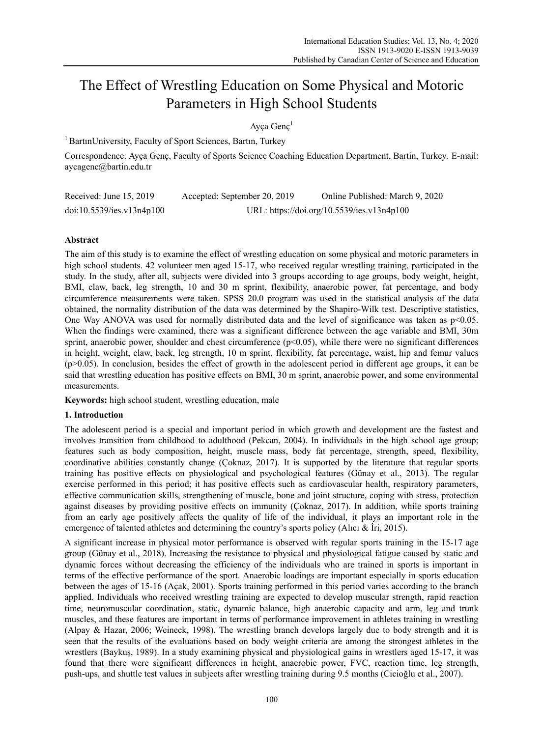# The Effect of Wrestling Education on Some Physical and Motoric Parameters in High School Students

Ayça Genç1

<sup>1</sup> BartınUniversity, Faculty of Sport Sciences, Bartın, Turkey

Correspondence: Ayça Genç, Faculty of Sports Science Coaching Education Department, Bartin, Turkey. E-mail: aycagenc@bartin.edu.tr

| Received: June $15, 2019$ | Accepted: September 20, 2019 | Online Published: March 9, 2020            |
|---------------------------|------------------------------|--------------------------------------------|
| doi:10.5539/ies.v13n4p100 |                              | URL: https://doi.org/10.5539/ies.v13n4p100 |

## **Abstract**

The aim of this study is to examine the effect of wrestling education on some physical and motoric parameters in high school students. 42 volunteer men aged 15-17, who received regular wrestling training, participated in the study. In the study, after all, subjects were divided into 3 groups according to age groups, body weight, height, BMI, claw, back, leg strength, 10 and 30 m sprint, flexibility, anaerobic power, fat percentage, and body circumference measurements were taken. SPSS 20.0 program was used in the statistical analysis of the data obtained, the normality distribution of the data was determined by the Shapiro-Wilk test. Descriptive statistics, One Way ANOVA was used for normally distributed data and the level of significance was taken as  $p<0.05$ . When the findings were examined, there was a significant difference between the age variable and BMI, 30m sprint, anaerobic power, shoulder and chest circumference (p<0.05), while there were no significant differences in height, weight, claw, back, leg strength, 10 m sprint, flexibility, fat percentage, waist, hip and femur values  $(p>0.05)$ . In conclusion, besides the effect of growth in the adolescent period in different age groups, it can be said that wrestling education has positive effects on BMI, 30 m sprint, anaerobic power, and some environmental measurements.

**Keywords:** high school student, wrestling education, male

#### **1. Introduction**

The adolescent period is a special and important period in which growth and development are the fastest and involves transition from childhood to adulthood (Pekcan, 2004). In individuals in the high school age group; features such as body composition, height, muscle mass, body fat percentage, strength, speed, flexibility, coordinative abilities constantly change (Çoknaz, 2017). It is supported by the literature that regular sports training has positive effects on physiological and psychological features (Günay et al., 2013). The regular exercise performed in this period; it has positive effects such as cardiovascular health, respiratory parameters, effective communication skills, strengthening of muscle, bone and joint structure, coping with stress, protection against diseases by providing positive effects on immunity (Çoknaz, 2017). In addition, while sports training from an early age positively affects the quality of life of the individual, it plays an important role in the emergence of talented athletes and determining the country's sports policy (Alıcı & İri, 2015).

A significant increase in physical motor performance is observed with regular sports training in the 15-17 age group (Günay et al., 2018). Increasing the resistance to physical and physiological fatigue caused by static and dynamic forces without decreasing the efficiency of the individuals who are trained in sports is important in terms of the effective performance of the sport. Anaerobic loadings are important especially in sports education between the ages of 15-16 (Açak, 2001). Sports training performed in this period varies according to the branch applied. Individuals who received wrestling training are expected to develop muscular strength, rapid reaction time, neuromuscular coordination, static, dynamic balance, high anaerobic capacity and arm, leg and trunk muscles, and these features are important in terms of performance improvement in athletes training in wrestling (Alpay & Hazar, 2006; Weineck, 1998). The wrestling branch develops largely due to body strength and it is seen that the results of the evaluations based on body weight criteria are among the strongest athletes in the wrestlers (Baykuş, 1989). In a study examining physical and physiological gains in wrestlers aged 15-17, it was found that there were significant differences in height, anaerobic power, FVC, reaction time, leg strength, push-ups, and shuttle test values in subjects after wrestling training during 9.5 months (Cicioğlu et al., 2007).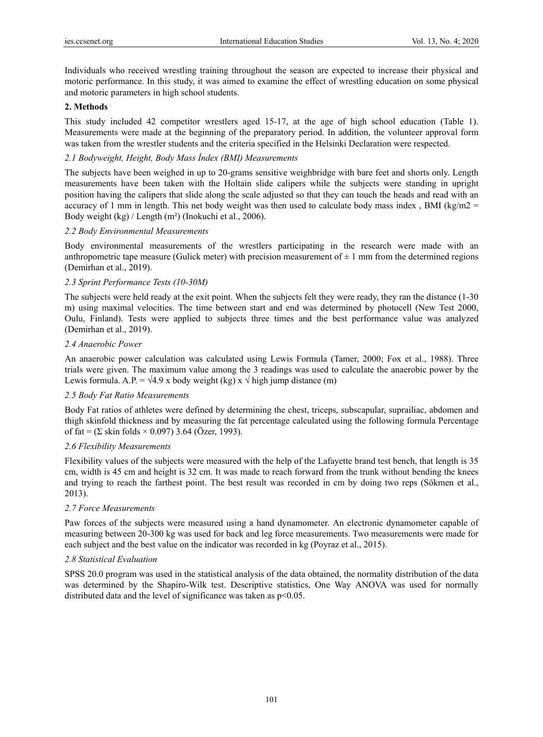Individuals who received wrestling training throughout the season are expected to increase their physical and motoric performance. In this study, it was aimed to examine the effect of wrestling education on some physical and motoric parameters in high school students.

#### **2. Methods**

This study included 42 competitor wrestlers aged 15-17, at the age of high school education (Table 1). Measurements were made at the beginning of the preparatory period. In addition, the volunteer approval form was taken from the wrestler students and the criteria specified in the Helsinki Declaration were respected.

### *2.1 Bodyweight, Height, Body Mass İndex (BMI) Measurements*

The subjects have been weighed in up to 20-grams sensitive weighbridge with bare feet and shorts only. Length measurements have been taken with the Holtain slide calipers while the subjects were standing in upright position having the calipers that slide along the scale adjusted so that they can touch the heads and read with an accuracy of 1 mm in length. This net body weight was then used to calculate body mass index, BMI (kg/m2 = Body weight (kg) / Length (m²) (Inokuchi et al., 2006).

#### *2.2 Body Environmental Measurements*

Body environmental measurements of the wrestlers participating in the research were made with an anthropometric tape measure (Gulick meter) with precision measurement of  $\pm 1$  mm from the determined regions (Demirhan et al., 2019).

#### *2.3 Sprint Performance Tests (10-30M)*

The subjects were held ready at the exit point. When the subjects felt they were ready, they ran the distance (1-30 m) using maximal velocities. The time between start and end was determined by photocell (New Test 2000, Oulu, Finland). Tests were applied to subjects three times and the best performance value was analyzed (Demirhan et al., 2019).

#### *2.4 Anaerobic Power*

An anaerobic power calculation was calculated using Lewis Formula (Tamer, 2000; Fox et al., 1988). Three trials were given. The maximum value among the 3 readings was used to calculate the anaerobic power by the Lewis formula. A.P. =  $\sqrt{4.9}$  x body weight (kg) x  $\sqrt{\frac{1}{1}}$  high jump distance (m)

#### *2.5 Body Fat Ratio Measurements*

Body Fat ratios of athletes were defined by determining the chest, triceps, subscapular, suprailiac, abdomen and thigh skinfold thickness and by measuring the fat percentage calculated using the following formula Percentage of fat =  $(\Sigma \sin \text{ folds} \times 0.097)$  3.64 (Özer, 1993).

#### *2.6 Flexibility Measurements*

Flexibility values of the subjects were measured with the help of the Lafayette brand test bench, that length is 35 cm, width is 45 cm and height is 32 cm. It was made to reach forward from the trunk without bending the knees and trying to reach the farthest point. The best result was recorded in cm by doing two reps (Sökmen et al., 2013).

#### *2.7 Force Measurements*

Paw forces of the subjects were measured using a hand dynamometer. An electronic dynamometer capable of measuring between 20-300 kg was used for back and leg force measurements. Two measurements were made for each subject and the best value on the indicator was recorded in kg (Poyraz et al., 2015).

#### *2.8 Statistical Evaluation*

SPSS 20.0 program was used in the statistical analysis of the data obtained, the normality distribution of the data was determined by the Shapiro-Wilk test. Descriptive statistics, One Way ANOVA was used for normally distributed data and the level of significance was taken as  $p<0.05$ .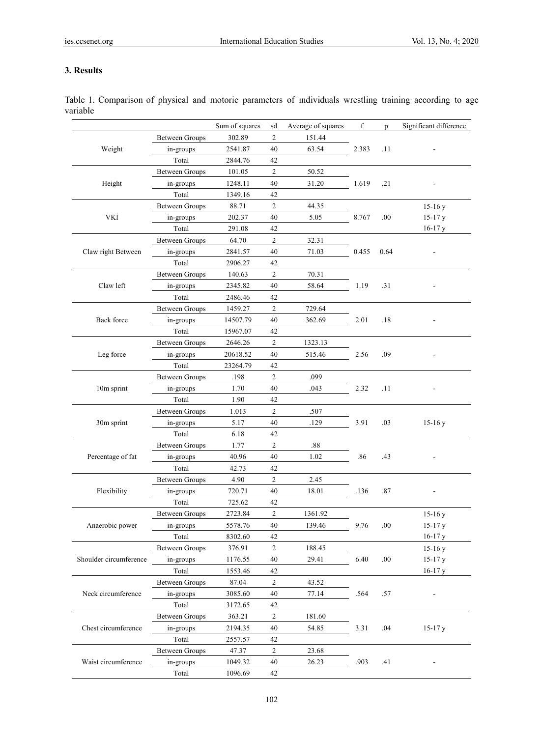# **3. Results**

|                        |                       | Sum of squares | sd             | Average of squares | f     | p    | Significant difference |
|------------------------|-----------------------|----------------|----------------|--------------------|-------|------|------------------------|
|                        | <b>Between Groups</b> | 302.89         | $\overline{c}$ | 151.44             |       |      |                        |
| Weight                 | in-groups             | 2541.87        | 40             | 63.54              | 2.383 | .11  |                        |
|                        | Total                 | 2844.76        | 42             |                    |       |      |                        |
| Height                 | <b>Between Groups</b> | 101.05         | 2              | 50.52              |       |      |                        |
|                        | in-groups             | 1248.11        | 40             | 31.20              | 1.619 | .21  |                        |
|                        | Total                 | 1349.16        | 42             |                    |       |      |                        |
| VKİ                    | <b>Between Groups</b> | 88.71          | $\overline{c}$ | 44.35              |       |      | $15-16y$               |
|                        | in-groups             | 202.37         | 40             | 5.05               | 8.767 | .00  | $15-17y$               |
|                        | Total                 | 291.08         | 42             |                    |       |      | $16-17y$               |
|                        | <b>Between Groups</b> | 64.70          | 2              | 32.31              | 0.455 |      |                        |
| Claw right Between     | in-groups             | 2841.57        | 40             | 71.03              |       | 0.64 |                        |
|                        | Total                 | 2906.27        | 42             |                    |       |      |                        |
|                        | <b>Between Groups</b> | 140.63         | 2              | 70.31              |       |      |                        |
| Claw left              | in-groups             | 2345.82        | 40             | 58.64              | 1.19  | .31  |                        |
|                        | Total                 | 2486.46        | 42             |                    |       |      |                        |
|                        | <b>Between Groups</b> | 1459.27        | $\overline{c}$ | 729.64             |       |      |                        |
| Back force             | in-groups             | 14507.79       | 40             | 362.69             | 2.01  | .18  |                        |
|                        | Total                 | 15967.07       | 42             |                    |       |      |                        |
|                        | <b>Between Groups</b> | 2646.26        | $\overline{c}$ | 1323.13            |       |      |                        |
| Leg force              | in-groups             | 20618.52       | 40             | 515.46             | 2.56  | .09  |                        |
|                        | Total                 | 23264.79       | 42             |                    |       |      |                        |
|                        | <b>Between Groups</b> | .198           | 2              | .099               |       |      |                        |
| 10m sprint             | in-groups             | 1.70           | 40             | .043               | 2.32  | .11  |                        |
|                        | Total                 | 1.90           | 42             |                    |       |      |                        |
|                        | <b>Between Groups</b> | 1.013          | 2              | .507               |       |      |                        |
| 30m sprint             | in-groups             | 5.17           | 40             | .129               | 3.91  | .03  | $15-16y$               |
|                        | Total                 | 6.18           | 42             |                    |       |      |                        |
|                        | <b>Between Groups</b> | 1.77           | 2              | .88                |       |      |                        |
| Percentage of fat      | in-groups             | 40.96          | 40             | 1.02               | .86   | .43  |                        |
|                        | Total                 | 42.73          | 42             |                    |       |      |                        |
| Flexibility            | <b>Between Groups</b> | 4.90           | 2              | 2.45               |       |      |                        |
|                        | in-groups             | 720.71         | 40             | 18.01              | .136  | .87  |                        |
|                        | Total                 | 725.62         | 42             |                    |       |      |                        |
| Anaerobic power        | <b>Between Groups</b> | 2723.84        | 2              | 1361.92            |       |      | $15-16y$               |
|                        | in-groups             | 5578.76        | 40             | 139.46             | 9.76  | .00  | 15-17 y                |
|                        | Total                 | 8302.60        | 42             |                    |       |      | $16-17y$               |
| Shoulder circumference | <b>Between Groups</b> | 376.91         | 2              | 188.45             |       |      | $15-16y$               |
|                        | in-groups             | 1176.55        | 40             | 29.41              | 6.40  | .00  | $15-17y$               |
|                        | Total                 | 1553.46        | 42             |                    |       |      | $16-17y$               |
|                        | <b>Between Groups</b> | 87.04          | $\overline{c}$ | 43.52              |       |      |                        |
| Neck circumference     | in-groups             | 3085.60        | 40             | 77.14              | .564  | .57  |                        |
|                        | Total                 | 3172.65        | 42             |                    |       |      |                        |
| Chest circumference    | <b>Between Groups</b> | 363.21         | $\overline{c}$ | 181.60             |       |      |                        |
|                        | in-groups             | 2194.35        | 40             | 54.85              | 3.31  | .04  | $15-17y$               |
|                        | Total                 | 2557.57        | 42             |                    |       |      |                        |
| Waist circumference    | <b>Between Groups</b> | 47.37          | 2              | 23.68              |       |      |                        |
|                        | in-groups             | 1049.32        | 40             | 26.23              | .903  | .41  |                        |
|                        | Total                 | 1096.69        | 42             |                    |       |      |                        |

Table 1. Comparison of physical and motoric parameters of ındividuals wrestling training according to age variable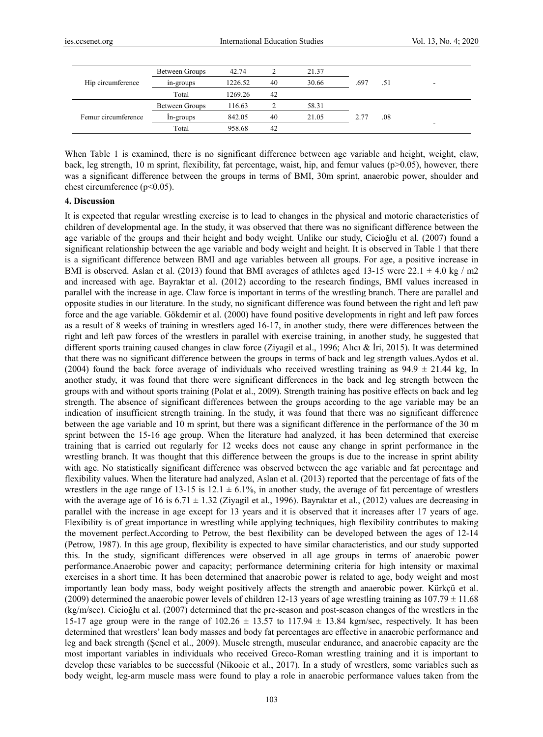| Hip circumference   | Between Groups | 42.74   |    | 21.37 |      |     |   |
|---------------------|----------------|---------|----|-------|------|-----|---|
|                     | in-groups      | 1226.52 | 40 | 30.66 | .697 | .51 | - |
|                     | Total          | 1269.26 | 42 |       |      |     |   |
| Femur circumference | Between Groups | 116.63  |    | 58.31 |      |     |   |
|                     | In-groups      | 842.05  | 40 | 21.05 | 2.77 | .08 |   |
|                     | Total          | 958.68  | 42 |       |      |     | - |

When Table 1 is examined, there is no significant difference between age variable and height, weight, claw, back, leg strength, 10 m sprint, flexibility, fat percentage, waist, hip, and femur values (p>0.05), however, there was a significant difference between the groups in terms of BMI, 30m sprint, anaerobic power, shoulder and chest circumference (p<0.05).

#### **4. Discussion**

It is expected that regular wrestling exercise is to lead to changes in the physical and motoric characteristics of children of developmental age. In the study, it was observed that there was no significant difference between the age variable of the groups and their height and body weight. Unlike our study, Cicioğlu et al. (2007) found a significant relationship between the age variable and body weight and height. It is observed in Table 1 that there is a significant difference between BMI and age variables between all groups. For age, a positive increase in BMI is observed. Aslan et al. (2013) found that BMI averages of athletes aged 13-15 were  $22.1 \pm 4.0$  kg / m2 and increased with age. Bayraktar et al. (2012) according to the research findings, BMI values increased in parallel with the increase in age. Claw force is important in terms of the wrestling branch. There are parallel and opposite studies in our literature. In the study, no significant difference was found between the right and left paw force and the age variable. Gökdemir et al. (2000) have found positive developments in right and left paw forces as a result of 8 weeks of training in wrestlers aged 16-17, in another study, there were differences between the right and left paw forces of the wrestlers in parallel with exercise training, in another study, he suggested that different sports training caused changes in claw force (Ziyagil et al., 1996; Alıcı & İri, 2015). It was determined that there was no significant difference between the groups in terms of back and leg strength values.Aydos et al. (2004) found the back force average of individuals who received wrestling training as  $94.9 \pm 21.44$  kg, In another study, it was found that there were significant differences in the back and leg strength between the groups with and without sports training (Polat et al., 2009). Strength training has positive effects on back and leg strength. The absence of significant differences between the groups according to the age variable may be an indication of insufficient strength training. In the study, it was found that there was no significant difference between the age variable and 10 m sprint, but there was a significant difference in the performance of the 30 m sprint between the 15-16 age group. When the literature had analyzed, it has been determined that exercise training that is carried out regularly for 12 weeks does not cause any change in sprint performance in the wrestling branch. It was thought that this difference between the groups is due to the increase in sprint ability with age. No statistically significant difference was observed between the age variable and fat percentage and flexibility values. When the literature had analyzed, Aslan et al. (2013) reported that the percentage of fats of the wrestlers in the age range of 13-15 is  $12.1 \pm 6.1\%$ , in another study, the average of fat percentage of wrestlers with the average age of 16 is  $6.71 \pm 1.32$  (Ziyagil et al., 1996). Bayraktar et al., (2012) values are decreasing in parallel with the increase in age except for 13 years and it is observed that it increases after 17 years of age. Flexibility is of great importance in wrestling while applying techniques, high flexibility contributes to making the movement perfect.According to Petrow, the best flexibility can be developed between the ages of 12-14 (Petrow, 1987). In this age group, flexibility is expected to have similar characteristics, and our study supported this. In the study, significant differences were observed in all age groups in terms of anaerobic power performance.Anaerobic power and capacity; performance determining criteria for high intensity or maximal exercises in a short time. It has been determined that anaerobic power is related to age, body weight and most importantly lean body mass, body weight positively affects the strength and anaerobic power. Kürkçü et al. (2009) determined the anaerobic power levels of children 12-13 years of age wrestling training as  $107.79 \pm 11.68$ (kg/m/sec). Cicioğlu et al. (2007) determined that the pre-season and post-season changes of the wrestlers in the 15-17 age group were in the range of  $102.26 \pm 13.57$  to  $117.94 \pm 13.84$  kgm/sec, respectively. It has been determined that wrestlers' lean body masses and body fat percentages are effective in anaerobic performance and leg and back strength (Şenel et al., 2009). Muscle strength, muscular endurance, and anaerobic capacity are the most important variables in individuals who received Greco-Roman wrestling training and it is important to develop these variables to be successful (Nikooie et al., 2017). In a study of wrestlers, some variables such as body weight, leg-arm muscle mass were found to play a role in anaerobic performance values taken from the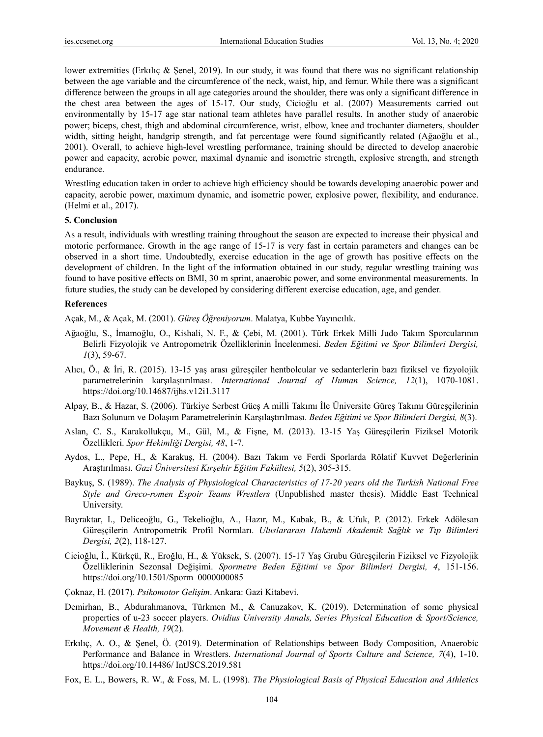lower extremities (Erkılıç & Şenel, 2019). In our study, it was found that there was no significant relationship between the age variable and the circumference of the neck, waist, hip, and femur. While there was a significant difference between the groups in all age categories around the shoulder, there was only a significant difference in the chest area between the ages of 15-17. Our study, Cicioğlu et al. (2007) Measurements carried out environmentally by 15-17 age star national team athletes have parallel results. In another study of anaerobic power; biceps, chest, thigh and abdominal circumference, wrist, elbow, knee and trochanter diameters, shoulder width, sitting height, handgrip strength, and fat percentage were found significantly related (Ağaoğlu et al., 2001). Overall, to achieve high-level wrestling performance, training should be directed to develop anaerobic power and capacity, aerobic power, maximal dynamic and isometric strength, explosive strength, and strength endurance.

Wrestling education taken in order to achieve high efficiency should be towards developing anaerobic power and capacity, aerobic power, maximum dynamic, and isometric power, explosive power, flexibility, and endurance. (Helmi et al., 2017).

#### **5. Conclusion**

As a result, individuals with wrestling training throughout the season are expected to increase their physical and motoric performance. Growth in the age range of 15-17 is very fast in certain parameters and changes can be observed in a short time. Undoubtedly, exercise education in the age of growth has positive effects on the development of children. In the light of the information obtained in our study, regular wrestling training was found to have positive effects on BMI, 30 m sprint, anaerobic power, and some environmental measurements. In future studies, the study can be developed by considering different exercise education, age, and gender.

#### **References**

Açak, M., & Açak, M. (2001). *Güreş Öğreniyorum*. Malatya, Kubbe Yayıncılık.

- Ağaoğlu, S., İmamoğlu, O., Kishali, N. F., & Çebi, M. (2001). Türk Erkek Milli Judo Takım Sporcularının Belirli Fizyolojik ve Antropometrik Özelliklerinin İncelenmesi. *Beden Eğitimi ve Spor Bilimleri Dergisi, 1*(3), 59-67.
- Alıcı, Ö., & İri, R. (2015). 13-15 yaş arası güreşçiler hentbolcular ve sedanterlerin bazı fiziksel ve fizyolojik parametrelerinin karşılaştırılması. *International Journal of Human Science, 12*(1), 1070-1081. https://doi.org/10.14687/ijhs.v12i1.3117
- Alpay, B., & Hazar, S. (2006). Türkiye Serbest Güeş A milli Takımı İle Üniversite Güreş Takımı Güreşçilerinin Bazı Solunum ve Dolaşım Parametrelerinin Karşılaştırılması. *Beden Eğitimi ve Spor Bilimleri Dergisi, 8*(3).
- Aslan, C. S., Karakollukçu, M., Gül, M., & Fişne, M. (2013). 13-15 Yaş Güreşçilerin Fiziksel Motorik Özellikleri. *Spor Hekimliği Dergisi, 48*, 1-7.
- Aydos, L., Pepe, H., & Karakuş, H. (2004). Bazı Takım ve Ferdi Sporlarda Rölatif Kuvvet Değerlerinin Araştırılması. *Gazi Üniversitesi Kırşehir Eğitim Fakültesi, 5*(2), 305-315.
- Baykuş, S. (1989). *The Analysis of Physiological Characteristics of 17-20 years old the Turkish National Free Style and Greco-romen Espoir Teams Wrestlers* (Unpublished master thesis). Middle East Technical University.
- Bayraktar, I., Deliceoğlu, G., Tekelioğlu, A., Hazır, M., Kabak, B., & Ufuk, P. (2012). Erkek Adölesan Güreşçilerin Antropometrik Profil Normları. *Uluslararası Hakemli Akademik Sağlık ve Tıp Bilimleri Dergisi, 2*(2), 118-127.
- Cicioğlu, İ., Kürkçü, R., Eroğlu, H., & Yüksek, S. (2007). 15-17 Yaş Grubu Güreşçilerin Fiziksel ve Fizyolojik Özelliklerinin Sezonsal Değişimi. *Spormetre Beden Eğitimi ve Spor Bilimleri Dergisi, 4*, 151-156. https://doi.org/10.1501/Sporm\_0000000085
- Çoknaz, H. (2017). *Psikomotor Gelişim*. Ankara: Gazi Kitabevi.
- Demirhan, B., Abdurahmanova, Türkmen M., & Canuzakov, K. (2019). Determination of some physical properties of u-23 soccer players. *Ovidius University Annals, Series Physical Education & Sport/Science, Movement & Health, 19*(2).
- Erkılıç, A. O., & Şenel, Ö. (2019). Determination of Relationships between Body Composition, Anaerobic Performance and Balance in Wrestlers. *International Journal of Sports Culture and Science, 7*(4), 1-10. https://doi.org/10.14486/ IntJSCS.2019.581
- Fox, E. L., Bowers, R. W., & Foss, M. L. (1998). *The Physiological Basis of Physical Education and Athletics*